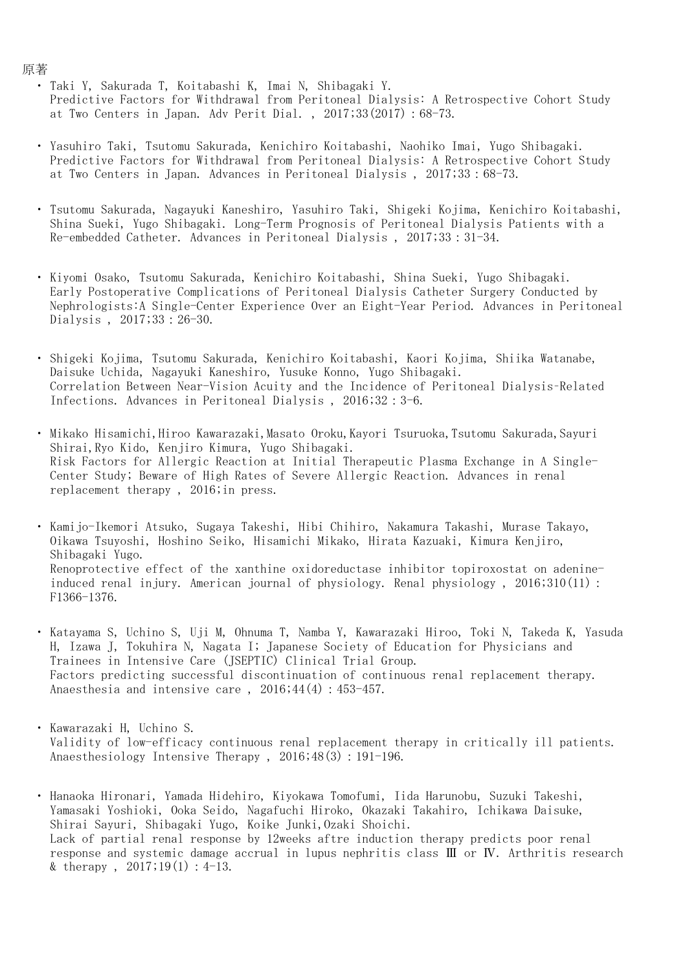- ・ Taki Y, Sakurada T, Koitabashi K, Imai N, Shibagaki Y. Predictive Factors for Withdrawal from Peritoneal Dialysis: A Retrospective Cohort Study at Two Centers in Japan. Adv Perit Dial. , 2017;33(2017):68-73.
- ・ Yasuhiro Taki, Tsutomu Sakurada, Kenichiro Koitabashi, Naohiko Imai, Yugo Shibagaki. Predictive Factors for Withdrawal from Peritoneal Dialysis: A Retrospective Cohort Study at Two Centers in Japan. Advances in Peritoneal Dialysis , 2017;33:68-73.
- ・ Tsutomu Sakurada, Nagayuki Kaneshiro, Yasuhiro Taki, Shigeki Kojima, Kenichiro Koitabashi, Shina Sueki, Yugo Shibagaki. Long-Term Prognosis of Peritoneal Dialysis Patients with a Re-embedded Catheter. Advances in Peritoneal Dialysis , 2017;33:31-34.
- ・ Kiyomi Osako, Tsutomu Sakurada, Kenichiro Koitabashi, Shina Sueki, Yugo Shibagaki. Early Postoperative Complications of Peritoneal Dialysis Catheter Surgery Conducted by Nephrologists:A Single-Center Experience Over an Eight-Year Period. Advances in Peritoneal Dialysis , 2017;33:26-30.
- ・ Shigeki Kojima, Tsutomu Sakurada, Kenichiro Koitabashi, Kaori Kojima, Shiika Watanabe, Daisuke Uchida, Nagayuki Kaneshiro, Yusuke Konno, Yugo Shibagaki. Correlation Between Near-Vision Acuity and the Incidence of Peritoneal Dialysis–Related Infections. Advances in Peritoneal Dialysis , 2016;32:3-6.
- Mikako Hisamichi, Hiroo Kawarazaki, Masato Oroku, Kayori Tsuruoka, Tsutomu Sakurada, Sayuri Shirai,Ryo Kido, Kenjiro Kimura, Yugo Shibagaki. Risk Factors for Allergic Reaction at Initial Therapeutic Plasma Exchange in A Single-Center Study; Beware of High Rates of Severe Allergic Reaction. Advances in renal replacement therapy , 2016;in press.

・ Kamijo-Ikemori Atsuko, Sugaya Takeshi, Hibi Chihiro, Nakamura Takashi, Murase Takayo, Oikawa Tsuyoshi, Hoshino Seiko, Hisamichi Mikako, Hirata Kazuaki, Kimura Kenjiro, Shibagaki Yugo. Renoprotective effect of the xanthine oxidoreductase inhibitor topiroxostat on adenineinduced renal injury. American journal of physiology. Renal physiology , 2016;310(11): F1366-1376.

- ・ Katayama S, Uchino S, Uji M, Ohnuma T, Namba Y, Kawarazaki Hiroo, Toki N, Takeda K, Yasuda H, Izawa J, Tokuhira N, Nagata I; Japanese Society of Education for Physicians and Trainees in Intensive Care (JSEPTIC) Clinical Trial Group. Factors predicting successful discontinuation of continuous renal replacement therapy. Anaesthesia and intensive care,  $2016;44(4):453-457$ .
- $\ddot{\phantom{0}}$ Kawarazaki H, Uchino S. Validity of low-efficacy continuous renal replacement therapy in critically ill patients. Anaesthesiology Intensive Therapy, 2016;48(3):191-196.
- ・ Hanaoka Hironari, Yamada Hidehiro, Kiyokawa Tomofumi, Iida Harunobu, Suzuki Takeshi, Yamasaki Yoshioki, Ooka Seido, Nagafuchi Hiroko, Okazaki Takahiro, Ichikawa Daisuke, Shirai Sayuri, Shibagaki Yugo, Koike Junki,Ozaki Shoichi. Lack of partial renal response by 12weeks aftre induction therapy predicts poor renal response and systemic damage accrual in lupus nephritis class Ⅲ or Ⅳ. Arthritis research & therapy,  $2017;19(1): 4-13$ .

原著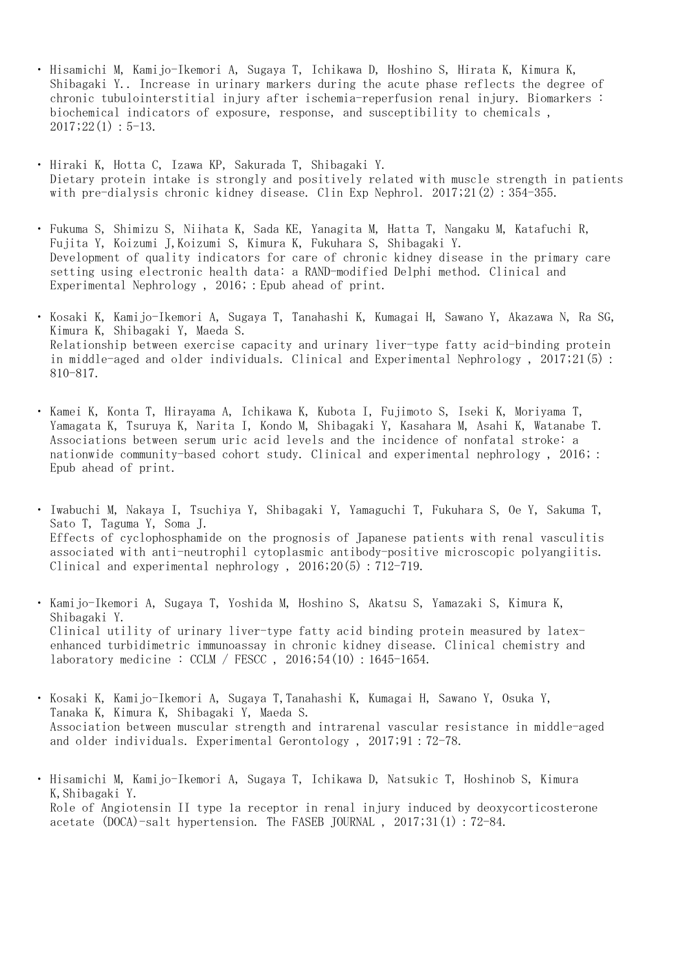- ・ Hisamichi M, Kamijo-Ikemori A, Sugaya T, Ichikawa D, Hoshino S, Hirata K, Kimura K, Shibagaki Y.. Increase in urinary markers during the acute phase reflects the degree of chronic tubulointerstitial injury after ischemia-reperfusion renal injury. Biomarkers : biochemical indicators of exposure, response, and susceptibility to chemicals ,  $2017;22(1):5-13.$
- ・ Hiraki K, Hotta C, Izawa KP, Sakurada T, Shibagaki Y. Dietary protein intake is strongly and positively related with muscle strength in patients with pre-dialysis chronic kidney disease. Clin Exp Nephrol. 2017;21(2): 354-355.
- ・ Fukuma S, Shimizu S, Niihata K, Sada KE, Yanagita M, Hatta T, Nangaku M, Katafuchi R, Fujita Y, Koizumi J,Koizumi S, Kimura K, Fukuhara S, Shibagaki Y. Development of quality indicators for care of chronic kidney disease in the primary care setting using electronic health data: a RAND-modified Delphi method. Clinical and Experimental Nephrology , 2016;:Epub ahead of print.
- ・ Kosaki K, Kamijo-Ikemori A, Sugaya T, Tanahashi K, Kumagai H, Sawano Y, Akazawa N, Ra SG, Kimura K, Shibagaki Y, Maeda S. Relationship between exercise capacity and urinary liver-type fatty acid-binding protein in middle-aged and older individuals. Clinical and Experimental Nephrology , 2017;21(5): 810-817.
- ・ Kamei K, Konta T, Hirayama A, Ichikawa K, Kubota I, Fujimoto S, Iseki K, Moriyama T, Yamagata K, Tsuruya K, Narita I, Kondo M, Shibagaki Y, Kasahara M, Asahi K, Watanabe T. Associations between serum uric acid levels and the incidence of nonfatal stroke: a nationwide community-based cohort study. Clinical and experimental nephrology , 2016;: Epub ahead of print.
- ・ Iwabuchi M, Nakaya I, Tsuchiya Y, Shibagaki Y, Yamaguchi T, Fukuhara S, Oe Y, Sakuma T, Sato T, Taguma Y, Soma J. Effects of cyclophosphamide on the prognosis of Japanese patients with renal vasculitis associated with anti-neutrophil cytoplasmic antibody-positive microscopic polyangiitis. Clinical and experimental nephrology,  $2016;20(5):712-719$ .
- ・ Kamijo-Ikemori A, Sugaya T, Yoshida M, Hoshino S, Akatsu S, Yamazaki S, Kimura K, Shibagaki Y. Clinical utility of urinary liver-type fatty acid binding protein measured by latexenhanced turbidimetric immunoassay in chronic kidney disease. Clinical chemistry and laboratory medicine : CCLM / FESCC , 2016;54(10):1645-1654.
- $\ddot{\phantom{0}}$ Kosaki K, Kamijo-Ikemori A, Sugaya T,Tanahashi K, Kumagai H, Sawano Y, Osuka Y, Tanaka K, Kimura K, Shibagaki Y, Maeda S. Association between muscular strength and intrarenal vascular resistance in middle-aged and older individuals. Experimental Gerontology , 2017;91:72-78.
- ・ Hisamichi M, Kamijo-Ikemori A, Sugaya T, Ichikawa D, Natsukic T, Hoshinob S, Kimura K,Shibagaki Y. Role of Angiotensin II type 1a receptor in renal injury induced by deoxycorticosterone acetate (DOCA)-salt hypertension. The FASEB JOURNAL , 2017;31(1):72-84.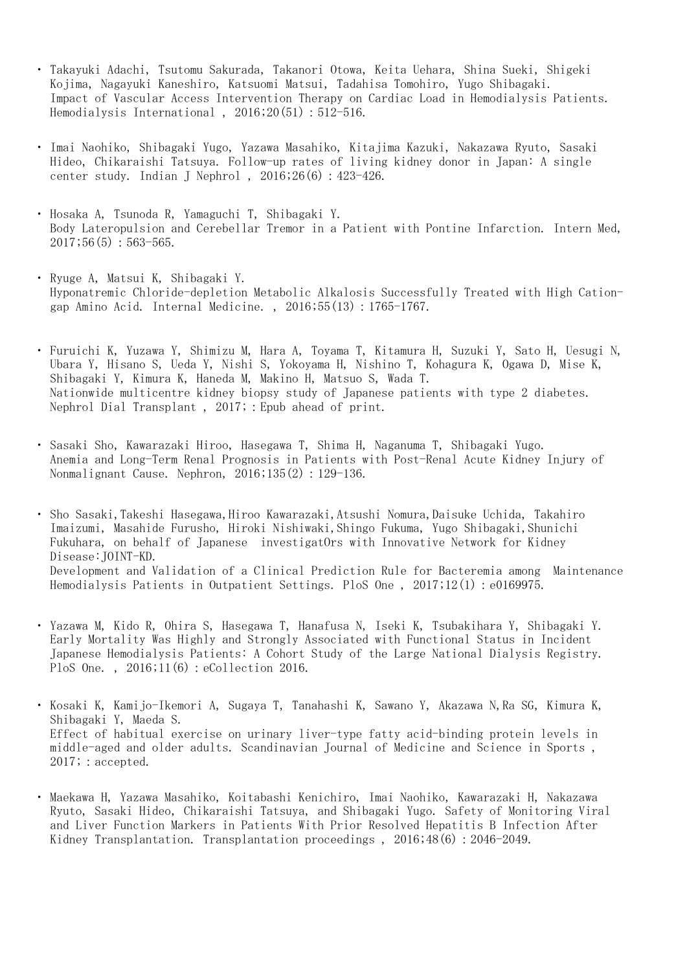- ・ Takayuki Adachi, Tsutomu Sakurada, Takanori Otowa, Keita Uehara, Shina Sueki, Shigeki Kojima, Nagayuki Kaneshiro, Katsuomi Matsui, Tadahisa Tomohiro, Yugo Shibagaki. Impact of Vascular Access Intervention Therapy on Cardiac Load in Hemodialysis Patients. Hemodialysis International,  $2016;20(51):512-516$ .
- ・ Imai Naohiko, Shibagaki Yugo, Yazawa Masahiko, Kitajima Kazuki, Nakazawa Ryuto, Sasaki Hideo, Chikaraishi Tatsuya. Follow-up rates of living kidney donor in Japan: A single center study. Indian J Nephrol , 2016;26(6):423-426.
- ・ Hosaka A, Tsunoda R, Yamaguchi T, Shibagaki Y. Body Lateropulsion and Cerebellar Tremor in a Patient with Pontine Infarction. Intern Med,  $2017;56(5):563-565.$
- ・ Ryuge A, Matsui K, Shibagaki Y. Hyponatremic Chloride-depletion Metabolic Alkalosis Successfully Treated with High Cationgap Amino Acid. Internal Medicine. , 2016;55(13):1765-1767.
- ・ Furuichi K, Yuzawa Y, Shimizu M, Hara A, Toyama T, Kitamura H, Suzuki Y, Sato H, Uesugi N, Ubara Y, Hisano S, Ueda Y, Nishi S, Yokoyama H, Nishino T, Kohagura K, Ogawa D, Mise K, Shibagaki Y, Kimura K, Haneda M, Makino H, Matsuo S, Wada T. Nationwide multicentre kidney biopsy study of Japanese patients with type 2 diabetes. Nephrol Dial Transplant, 2017; : Epub ahead of print.
- ・ Sasaki Sho, Kawarazaki Hiroo, Hasegawa T, Shima H, Naganuma T, Shibagaki Yugo. Anemia and Long-Term Renal Prognosis in Patients with Post-Renal Acute Kidney Injury of Nonmalignant Cause. Nephron, 2016;135(2): 129-136.

・ Sho Sasaki,Takeshi Hasegawa,Hiroo Kawarazaki,Atsushi Nomura,Daisuke Uchida, Takahiro Imaizumi, Masahide Furusho, Hiroki Nishiwaki,Shingo Fukuma, Yugo Shibagaki,Shunichi Fukuhara, on behalf of Japanese investigatOrs with Innovative Network for Kidney Disease:JOINT-KD. Development and Validation of a Clinical Prediction Rule for Bacteremia among Maintenance Hemodialysis Patients in Outpatient Settings. PloS One , 2017;12(1):e0169975.

- ・ Yazawa M, Kido R, Ohira S, Hasegawa T, Hanafusa N, Iseki K, Tsubakihara Y, Shibagaki Y. Early Mortality Was Highly and Strongly Associated with Functional Status in Incident Japanese Hemodialysis Patients: A Cohort Study of the Large National Dialysis Registry. PloS One., 2016;11(6): eCollection 2016.
- ・ Kosaki K, Kamijo-Ikemori A, Sugaya T, Tanahashi K, Sawano Y, Akazawa N,Ra SG, Kimura K, Shibagaki Y, Maeda S. Effect of habitual exercise on urinary liver-type fatty acid-binding protein levels in middle-aged and older adults. Scandinavian Journal of Medicine and Science in Sports , 2017; : accepted.
- ・ Maekawa H, Yazawa Masahiko, Koitabashi Kenichiro, Imai Naohiko, Kawarazaki H, Nakazawa Ryuto, Sasaki Hideo, Chikaraishi Tatsuya, and Shibagaki Yugo. Safety of Monitoring Viral and Liver Function Markers in Patients With Prior Resolved Hepatitis B Infection After Kidney Transplantation. Transplantation proceedings, 2016;48(6): 2046-2049.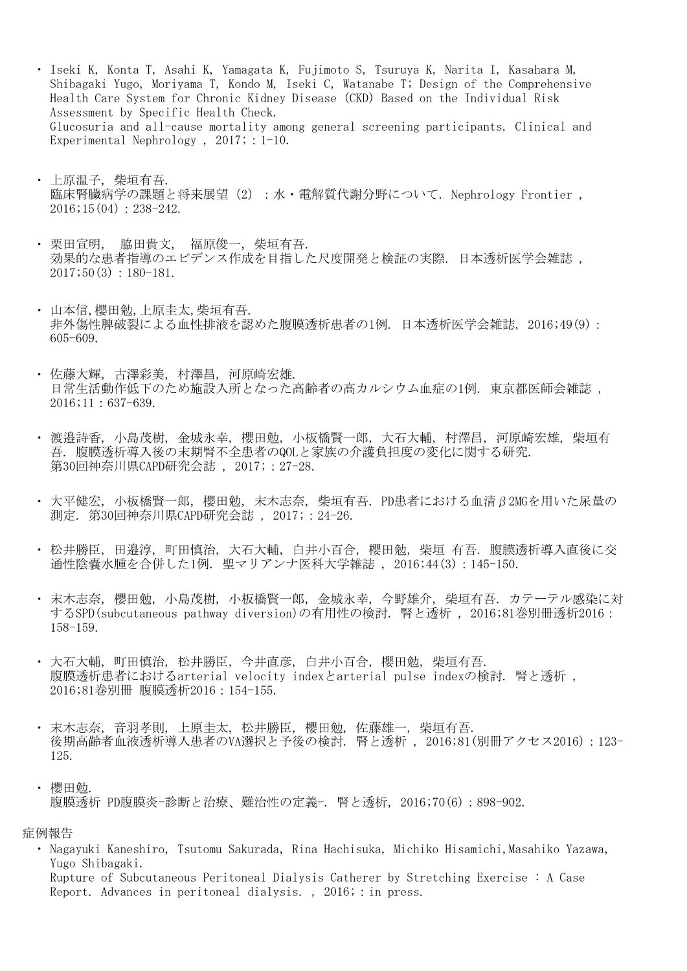- ・ Iseki K, Konta T, Asahi K, Yamagata K, Fujimoto S, Tsuruya K, Narita I, Kasahara M, Shibagaki Yugo, Moriyama T, Kondo M, Iseki C, Watanabe T; Design of the Comprehensive Health Care System for Chronic Kidney Disease (CKD) Based on the Individual Risk Assessment by Specific Health Check. Glucosuria and all-cause mortality among general screening participants. Clinical and Experimental Nephrology,  $2017$ ; : 1-10.
- ・ 上原温子, 柴垣有吾. 臨床腎臓病学の課題と将来展望 (2): 水·電解質代謝分野について. Nephrology Frontier,  $2016$ ; 15(04): 238-242.
- ・ 栗田宣明, 脇田貴文, 福原俊一, 柴垣有吾. 効果的な患者指導のエビデンス作成を目指した尺度開発と検証の実際. 日本透析医学会雑誌 ,  $2017;50(3):180-181.$
- ・ 山本信,櫻田勉,上原圭太,柴垣有吾. 非外傷性脾破裂による血性排液を認めた腹膜透析患者の1例. 日本透析医学会雑誌, 2016;49(9): 605-609.
- ・ 佐藤大輝, 古澤彩美, 村澤昌, 河原崎宏雄. 日常生活動作低下のため施設入所となった高齢者の高カルシウム血症の1例. 東京都医師会雑誌 , 2016;11:637-639.
- ・ 渡邉詩香, 小島茂樹, 金城永幸, 櫻田勉, 小板橋賢一郎, 大石大輔, 村澤昌, 河原崎宏雄, 柴垣有 吾. 腹膜透析導入後の末期腎不全患者のQOLと家族の介護負担度の変化に関する研究. 第30回神奈川県CAPD研究会誌, 2017;: 27-28.
- ・ 大平健宏, 小板橋賢一郎, 櫻田勉, 末木志奈, 柴垣有吾. PD患者における血清β2MGを用いた尿量の 測定. 第30回神奈川県CAPD研究会誌 , 2017;:24-26.
- ・ 松井勝臣, 田邉淳, 町田慎治, 大石大輔, 白井小百合, 櫻田勉, 柴垣 有吾. 腹膜透析導入直後に交 通性陰嚢水腫を合併した1例. 聖マリアンナ医科大学雑誌 , 2016;44(3):145-150.
- ・ 末木志奈, 櫻田勉, 小島茂樹, 小板橋賢一郎, 金城永幸, 今野雄介, 柴垣有吾. カテーテル感染に対 するSPD(subcutaneous pathway diversion)の有用性の検討. 腎と透析 , 2016;81巻別冊透析2016: 158-159.
- ・ 大石大輔, 町田慎治, 松井勝臣, 今井直彦, 白井小百合, 櫻田勉, 柴垣有吾. 腹膜透析患者におけるarterial velocity indexとarterial pulse indexの検討. 腎と透析 , 2016;81巻別冊 腹膜透析2016:154-155.
- ・ 末木志奈, 音羽孝則, 上原圭太, 松井勝臣, 櫻田勉, 佐藤雄一, 柴垣有吾. 後期高齢者血液透析導入患者のVA選択と予後の検討. 腎と透析, 2016;81(別冊アクセス2016):123-125.
- ・ 櫻田勉. 腹膜透析 PD腹膜炎-診断と治療、難治性の定義-. 腎と透析, 2016;70(6):898-902.

症例報告

・ Nagayuki Kaneshiro, Tsutomu Sakurada, Rina Hachisuka, Michiko Hisamichi,Masahiko Yazawa, Yugo Shibagaki. Rupture of Subcutaneous Peritoneal Dialysis Catherer by Stretching Exercise : A Case

Report. Advances in peritoneal dialysis., 2016; : in press.